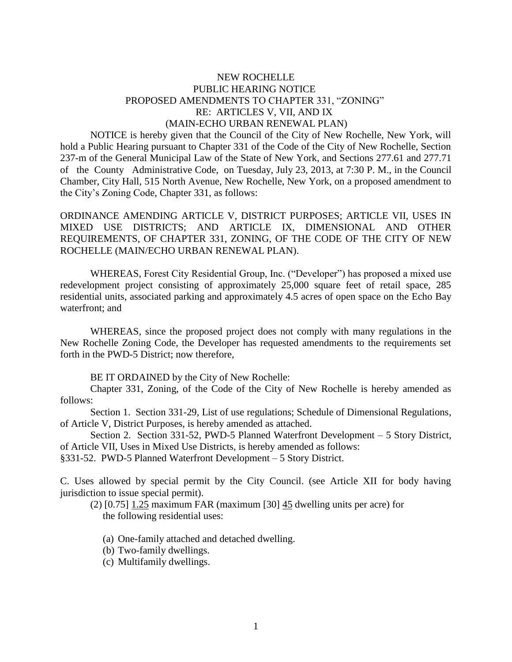## NEW ROCHELLE PUBLIC HEARING NOTICE PROPOSED AMENDMENTS TO CHAPTER 331, "ZONING" RE: ARTICLES V, VII, AND IX (MAIN-ECHO URBAN RENEWAL PLAN)

NOTICE is hereby given that the Council of the City of New Rochelle, New York, will hold a Public Hearing pursuant to Chapter 331 of the Code of the City of New Rochelle, Section 237-m of the General Municipal Law of the State of New York, and Sections 277.61 and 277.71 of the County Administrative Code, on Tuesday, July 23, 2013, at 7:30 P. M., in the Council Chamber, City Hall, 515 North Avenue, New Rochelle, New York, on a proposed amendment to the City's Zoning Code, Chapter 331, as follows:

ORDINANCE AMENDING ARTICLE V, DISTRICT PURPOSES; ARTICLE VII, USES IN MIXED USE DISTRICTS; AND ARTICLE IX, DIMENSIONAL AND OTHER REQUIREMENTS, OF CHAPTER 331, ZONING, OF THE CODE OF THE CITY OF NEW ROCHELLE (MAIN/ECHO URBAN RENEWAL PLAN).

WHEREAS, Forest City Residential Group, Inc. ("Developer") has proposed a mixed use redevelopment project consisting of approximately 25,000 square feet of retail space, 285 residential units, associated parking and approximately 4.5 acres of open space on the Echo Bay waterfront; and

WHEREAS, since the proposed project does not comply with many regulations in the New Rochelle Zoning Code, the Developer has requested amendments to the requirements set forth in the PWD-5 District; now therefore,

BE IT ORDAINED by the City of New Rochelle:

Chapter 331, Zoning, of the Code of the City of New Rochelle is hereby amended as follows:

Section 1. Section 331-29, List of use regulations; Schedule of Dimensional Regulations, of Article V, District Purposes, is hereby amended as attached.

Section 2. Section 331-52, PWD-5 Planned Waterfront Development – 5 Story District, of Article VII, Uses in Mixed Use Districts, is hereby amended as follows:

§331-52. PWD-5 Planned Waterfront Development – 5 Story District.

C. Uses allowed by special permit by the City Council. (see Article XII for body having jurisdiction to issue special permit).

(2)  $[0.75]$  1.25 maximum FAR (maximum  $[30]$  45 dwelling units per acre) for the following residential uses:

- (a) One-family attached and detached dwelling.
- (b) Two-family dwellings.
- (c) Multifamily dwellings.